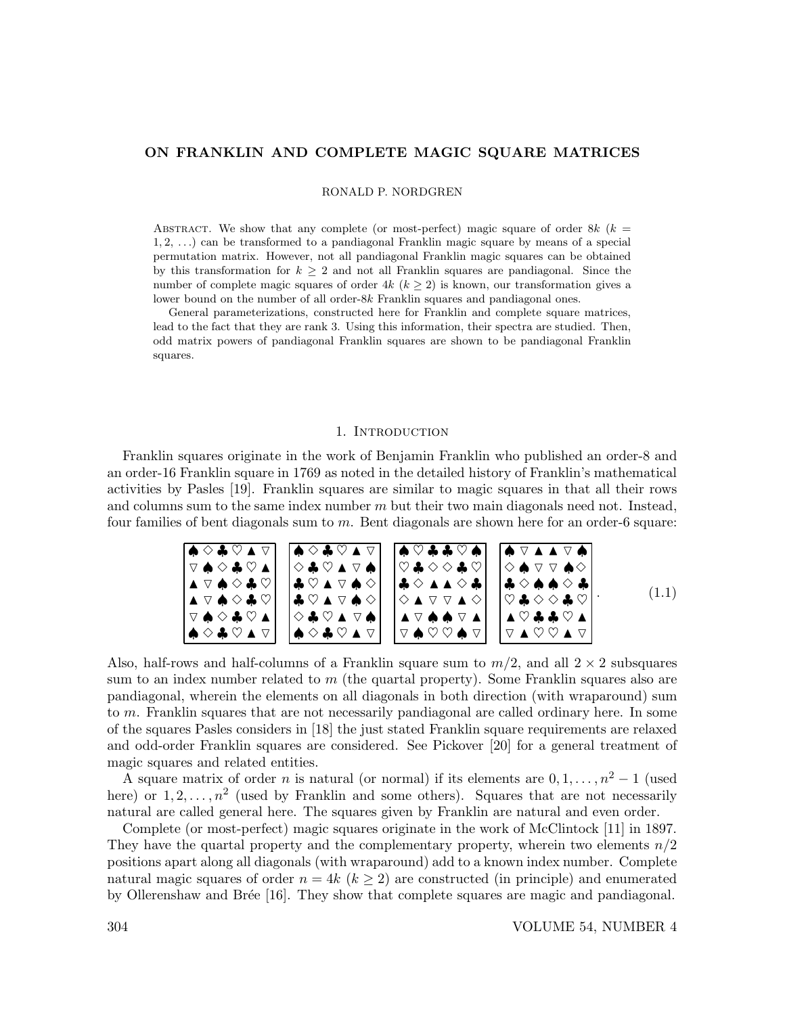RONALD P. NORDGREN

ABSTRACT. We show that any complete (or most-perfect) magic square of order 8k ( $k =$ 1, 2, . . .) can be transformed to a pandiagonal Franklin magic square by means of a special permutation matrix. However, not all pandiagonal Franklin magic squares can be obtained by this transformation for  $k > 2$  and not all Franklin squares are pandiagonal. Since the number of complete magic squares of order  $4k$   $(k > 2)$  is known, our transformation gives a lower bound on the number of all order-8k Franklin squares and pandiagonal ones.

General parameterizations, constructed here for Franklin and complete square matrices, lead to the fact that they are rank 3. Using this information, their spectra are studied. Then, odd matrix powers of pandiagonal Franklin squares are shown to be pandiagonal Franklin squares.

#### 1. INTRODUCTION

Franklin squares originate in the work of Benjamin Franklin who published an order-8 and an order-16 Franklin square in 1769 as noted in the detailed history of Franklin's mathematical activities by Pasles [19]. Franklin squares are similar to magic squares in that all their rows and columns sum to the same index number  $m$  but their two main diagonals need not. Instead, four families of bent diagonals sum to m. Bent diagonals are shown here for an order-6 square:

♠ ✸ ♣ ♥ N ▽ ▽ ♠ ✸ ♣ ♥ N N ▽ ♠ ✸ ♣ ♥ N ▽ ♠ ✸ ♣ ♥ ▽ ♠ ✸ ♣ ♥ N ♠ ✸ ♣ ♥ N ▽ ♠ ✸ ♣ ♥ N ▽ ✸ ♣ ♥ N ▽ ♠ ♣ ♥ N ▽ ♠ ✸ ♣ ♥ N ▽ ♠ ✸ ✸ ♣ ♥ N ▽ ♠ ♠ ✸ ♣ ♥ N ▽ ♠ ♥ ♣ ♣ ♥ ♠ ♥ ♣ ✸ ✸ ♣ ♥ ♣ ✸ N N ✸ ♣ ✸ N ▽ ▽ N ✸ N ▽ ♠ ♠ ▽ N ▽ ♠ ♥ ♥ ♠ ▽ ♠ ▽ N N ▽ ♠ ✸ ♠ ▽ ▽ ♠✸ ♣ ✸ ♠ ♠ ✸ ♣ ♥ ♣ ✸ ✸ ♣ ♥ N ♥ ♣ ♣ ♥ N ▽ N ♥ ♥ N ▽ . (1.1)

Also, half-rows and half-columns of a Franklin square sum to  $m/2$ , and all  $2 \times 2$  subsquares sum to an index number related to  $m$  (the quartal property). Some Franklin squares also are pandiagonal, wherein the elements on all diagonals in both direction (with wraparound) sum to m. Franklin squares that are not necessarily pandiagonal are called ordinary here. In some of the squares Pasles considers in [18] the just stated Franklin square requirements are relaxed and odd-order Franklin squares are considered. See Pickover [20] for a general treatment of magic squares and related entities.

A square matrix of order n is natural (or normal) if its elements are  $0, 1, \ldots, n^2 - 1$  (used here) or  $1, 2, \ldots, n^2$  (used by Franklin and some others). Squares that are not necessarily natural are called general here. The squares given by Franklin are natural and even order.

Complete (or most-perfect) magic squares originate in the work of McClintock [11] in 1897. They have the quartal property and the complementary property, wherein two elements  $n/2$ positions apart along all diagonals (with wraparound) add to a known index number. Complete natural magic squares of order  $n = 4k$  ( $k \ge 2$ ) are constructed (in principle) and enumerated by Ollerenshaw and Brée [16]. They show that complete squares are magic and pandiagonal.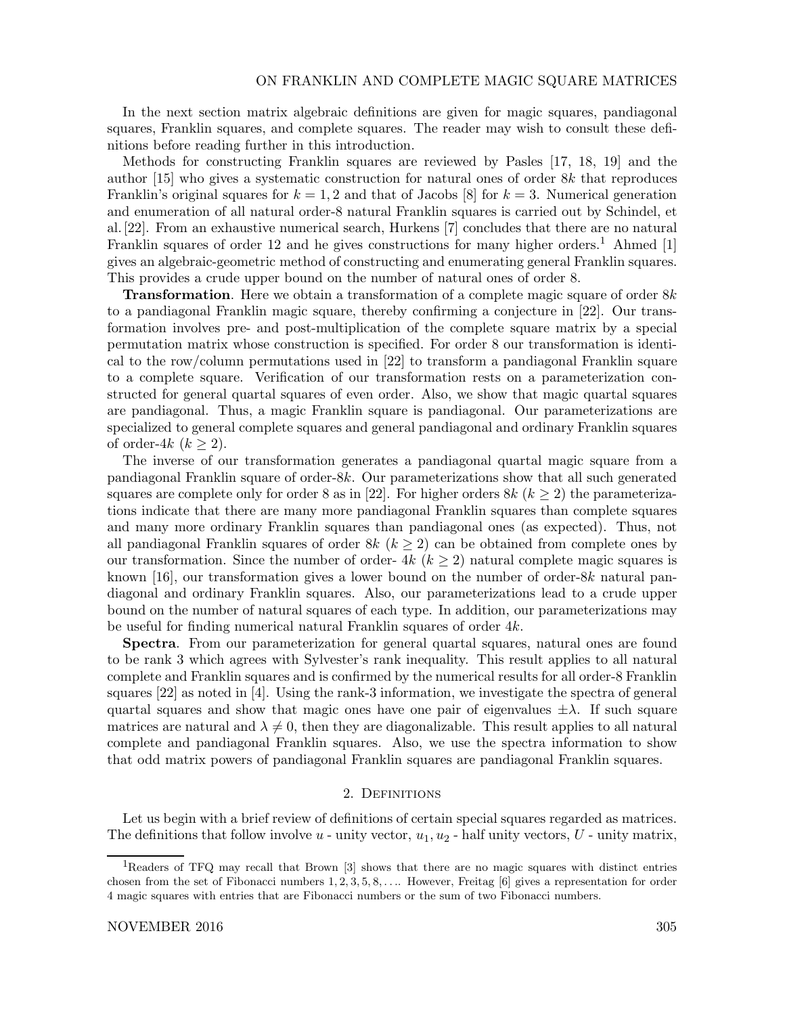In the next section matrix algebraic definitions are given for magic squares, pandiagonal squares, Franklin squares, and complete squares. The reader may wish to consult these definitions before reading further in this introduction.

Methods for constructing Franklin squares are reviewed by Pasles [17, 18, 19] and the author [15] who gives a systematic construction for natural ones of order 8k that reproduces Franklin's original squares for  $k = 1, 2$  and that of Jacobs [8] for  $k = 3$ . Numerical generation and enumeration of all natural order-8 natural Franklin squares is carried out by Schindel, et al. [22]. From an exhaustive numerical search, Hurkens [7] concludes that there are no natural Franklin squares of order 12 and he gives constructions for many higher orders.<sup>1</sup> Ahmed [1] gives an algebraic-geometric method of constructing and enumerating general Franklin squares. This provides a crude upper bound on the number of natural ones of order 8.

**Transformation**. Here we obtain a transformation of a complete magic square of order  $8k$ to a pandiagonal Franklin magic square, thereby confirming a conjecture in [22]. Our transformation involves pre- and post-multiplication of the complete square matrix by a special permutation matrix whose construction is specified. For order 8 our transformation is identical to the row/column permutations used in [22] to transform a pandiagonal Franklin square to a complete square. Verification of our transformation rests on a parameterization constructed for general quartal squares of even order. Also, we show that magic quartal squares are pandiagonal. Thus, a magic Franklin square is pandiagonal. Our parameterizations are specialized to general complete squares and general pandiagonal and ordinary Franklin squares of order-4k  $(k \geq 2)$ .

The inverse of our transformation generates a pandiagonal quartal magic square from a pandiagonal Franklin square of order-8k. Our parameterizations show that all such generated squares are complete only for order 8 as in [22]. For higher orders  $8k$  ( $k \geq 2$ ) the parameterizations indicate that there are many more pandiagonal Franklin squares than complete squares and many more ordinary Franklin squares than pandiagonal ones (as expected). Thus, not all pandiagonal Franklin squares of order  $8k$  ( $k \geq 2$ ) can be obtained from complete ones by our transformation. Since the number of order-  $4k$  ( $k \geq 2$ ) natural complete magic squares is known [16], our transformation gives a lower bound on the number of order-8k natural pandiagonal and ordinary Franklin squares. Also, our parameterizations lead to a crude upper bound on the number of natural squares of each type. In addition, our parameterizations may be useful for finding numerical natural Franklin squares of order 4k.

Spectra. From our parameterization for general quartal squares, natural ones are found to be rank 3 which agrees with Sylvester's rank inequality. This result applies to all natural complete and Franklin squares and is confirmed by the numerical results for all order-8 Franklin squares [22] as noted in [4]. Using the rank-3 information, we investigate the spectra of general quartal squares and show that magic ones have one pair of eigenvalues  $\pm \lambda$ . If such square matrices are natural and  $\lambda \neq 0$ , then they are diagonalizable. This result applies to all natural complete and pandiagonal Franklin squares. Also, we use the spectra information to show that odd matrix powers of pandiagonal Franklin squares are pandiagonal Franklin squares.

## 2. DEFINITIONS

Let us begin with a brief review of definitions of certain special squares regarded as matrices. The definitions that follow involve  $u$  - unity vector,  $u_1, u_2$  - half unity vectors,  $U$  - unity matrix,

<sup>&</sup>lt;sup>1</sup>Readers of TFQ may recall that Brown [3] shows that there are no magic squares with distinct entries chosen from the set of Fibonacci numbers  $1, 2, 3, 5, 8, \ldots$ . However, Freitag [6] gives a representation for order 4 magic squares with entries that are Fibonacci numbers or the sum of two Fibonacci numbers.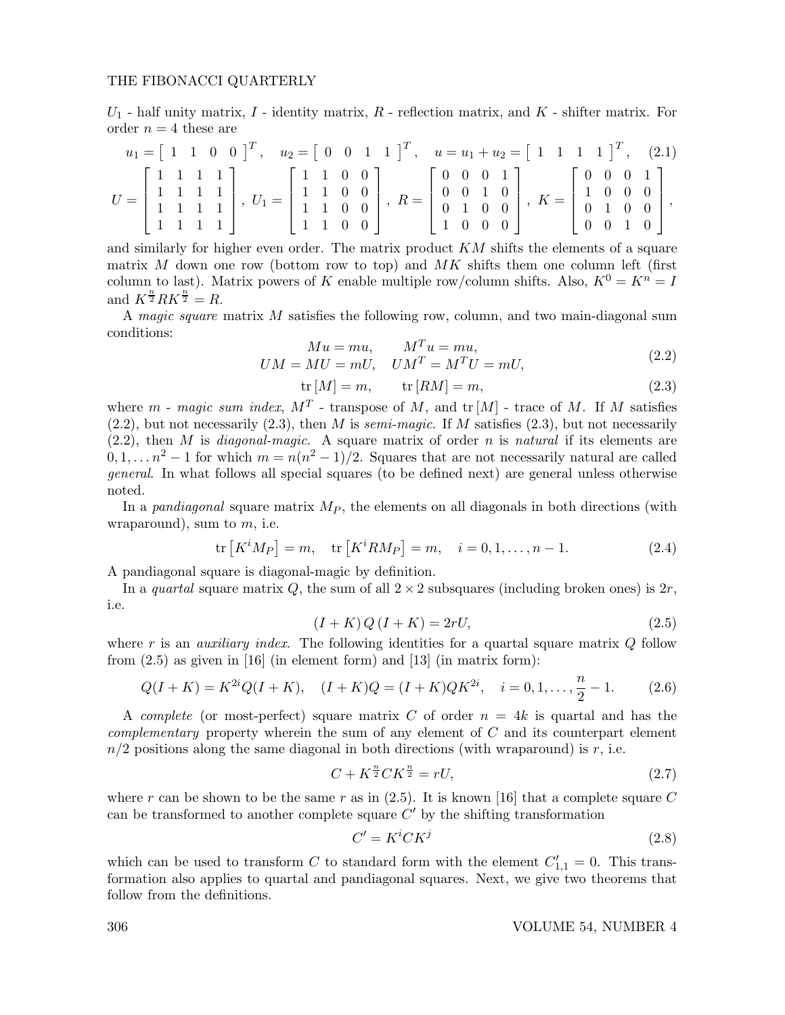$U_1$  - half unity matrix,  $I$  - identity matrix,  $R$  - reflection matrix, and  $K$  - shifter matrix. For order  $n = 4$  these are

$$
u_1 = \begin{bmatrix} 1 & 1 & 0 & 0 \end{bmatrix}^T, \quad u_2 = \begin{bmatrix} 0 & 0 & 1 & 1 \end{bmatrix}^T, \quad u = u_1 + u_2 = \begin{bmatrix} 1 & 1 & 1 & 1 \end{bmatrix}^T, \quad (2.1)
$$

$$
U = \begin{bmatrix} 1 & 1 & 1 & 1 \ 1 & 1 & 1 & 1 \ 1 & 1 & 1 & 1 \ 1 & 1 & 1 & 1 \end{bmatrix}, \quad U_1 = \begin{bmatrix} 1 & 1 & 0 & 0 \ 1 & 1 & 0 & 0 \ 1 & 1 & 0 & 0 \ 1 & 1 & 0 & 0 \end{bmatrix}, \quad R = \begin{bmatrix} 0 & 0 & 0 & 1 \ 0 & 0 & 1 & 0 \ 0 & 1 & 0 & 0 \ 1 & 0 & 0 & 0 \end{bmatrix}, \quad K = \begin{bmatrix} 0 & 0 & 0 & 1 \ 1 & 0 & 0 & 0 \ 0 & 1 & 0 & 0 \ 0 & 0 & 1 & 0 \end{bmatrix},
$$

and similarly for higher even order. The matrix product  $KM$  shifts the elements of a square matrix  $M$  down one row (bottom row to top) and  $MK$  shifts them one column left (first column to last). Matrix powers of K enable multiple row/column shifts. Also,  $K^0 = K^n = I$ and  $K^{\frac{n}{2}}RK^{\frac{n}{2}} = R$ .

A magic square matrix M satisfies the following row, column, and two main-diagonal sum conditions:

$$
Mu = mu, \t M^T u = mu,
$$
  
\n
$$
UM = MU = mU, \t UM^T = M^TU = mU,
$$
\n(2.2)

$$
\text{tr}\left[M\right] = m, \qquad \text{tr}\left[RM\right] = m,\tag{2.3}
$$

where m - magic sum index,  $M<sup>T</sup>$  - transpose of M, and tr  $[M]$  - trace of M. If M satisfies  $(2.2)$ , but not necessarily  $(2.3)$ , then M is semi-magic. If M satisfies  $(2.3)$ , but not necessarily  $(2.2)$ , then M is *diagonal-magic*. A square matrix of order n is *natural* if its elements are  $0, 1, \ldots, n^2-1$  for which  $m = n(n^2-1)/2$ . Squares that are not necessarily natural are called general. In what follows all special squares (to be defined next) are general unless otherwise noted.

In a pandiagonal square matrix  $M_P$ , the elements on all diagonals in both directions (with wraparound), sum to  $m$ , i.e.

$$
\text{tr}\left[K^{i}M_{P}\right] = m, \quad \text{tr}\left[K^{i}RM_{P}\right] = m, \quad i = 0, 1, \dots, n - 1. \tag{2.4}
$$

A pandiagonal square is diagonal-magic by definition.

In a quartal square matrix Q, the sum of all  $2 \times 2$  subsquares (including broken ones) is  $2r$ , i.e.

$$
(I + K) Q (I + K) = 2rU,
$$
\n(2.5)

where r is an *auxiliary index*. The following identities for a quartal square matrix  $Q$  follow from  $(2.5)$  as given in [16] (in element form) and [13] (in matrix form):

$$
Q(I+K) = K^{2i}Q(I+K), \quad (I+K)Q = (I+K)QK^{2i}, \quad i = 0, 1, \dots, \frac{n}{2} - 1. \tag{2.6}
$$

A complete (or most-perfect) square matrix C of order  $n = 4k$  is quartal and has the *complementary* property wherein the sum of any element of  $C$  and its counterpart element  $n/2$  positions along the same diagonal in both directions (with wraparound) is r, i.e.

$$
C + K^{\frac{n}{2}} C K^{\frac{n}{2}} = rU,
$$
\n(2.7)

where r can be shown to be the same r as in  $(2.5)$ . It is known [16] that a complete square C can be transformed to another complete square  $C'$  by the shifting transformation

$$
C' = K^i C K^j \tag{2.8}
$$

which can be used to transform C to standard form with the element  $C'_{1,1} = 0$ . This transformation also applies to quartal and pandiagonal squares. Next, we give two theorems that follow from the definitions.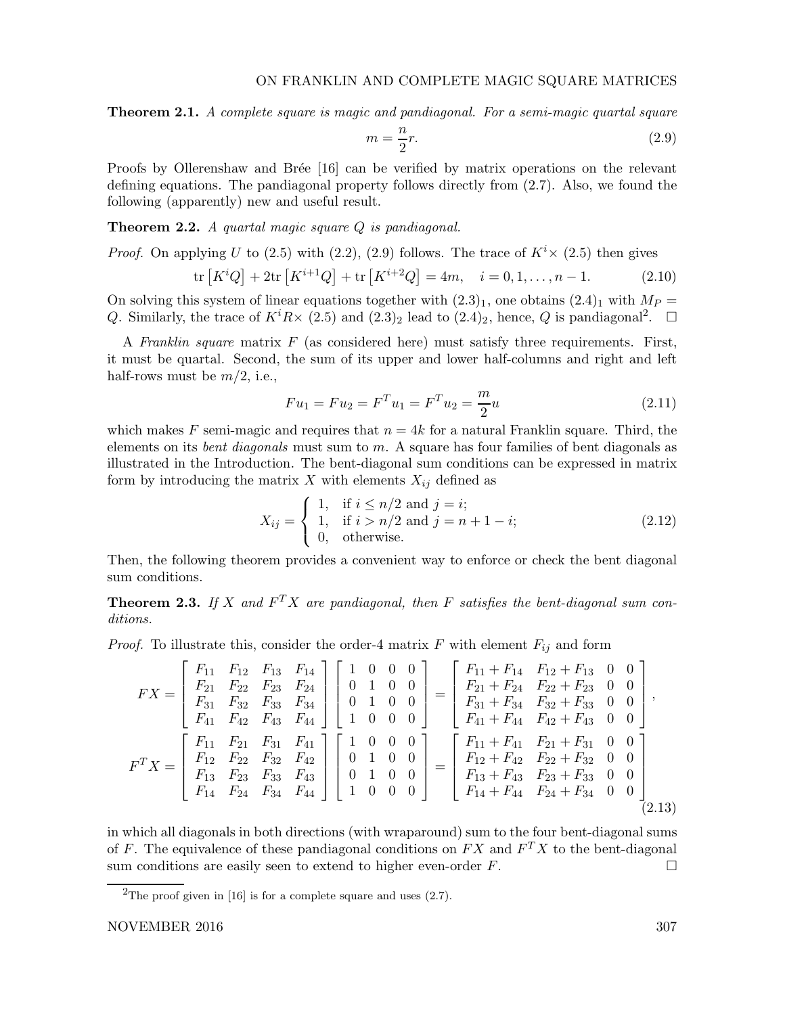**Theorem 2.1.** A complete square is magic and pandiagonal. For a semi-magic quartal square

$$
m = \frac{n}{2}r.\tag{2.9}
$$

Proofs by Ollerenshaw and Brée [16] can be verified by matrix operations on the relevant defining equations. The pandiagonal property follows directly from (2.7). Also, we found the following (apparently) new and useful result.

Theorem 2.2. A quartal magic square Q is pandiagonal.

*Proof.* On applying U to (2.5) with (2.2), (2.9) follows. The trace of  $K^{i} \times$  (2.5) then gives

$$
\text{tr}\left[K^{i}Q\right] + 2\text{tr}\left[K^{i+1}Q\right] + \text{tr}\left[K^{i+2}Q\right] = 4m, \quad i = 0, 1, \dots, n-1. \tag{2.10}
$$

On solving this system of linear equations together with  $(2.3)_1$ , one obtains  $(2.4)_1$  with  $M_P =$ Q. Similarly, the trace of  $K^{i}R \times (2.5)$  and  $(2.3)_2$  lead to  $(2.4)_2$ , hence, Q is pandiagonal<sup>2</sup>.  $\Box$ 

A Franklin square matrix  $F$  (as considered here) must satisfy three requirements. First, it must be quartal. Second, the sum of its upper and lower half-columns and right and left half-rows must be  $m/2$ , i.e.,

$$
Fu_1 = Fu_2 = F^T u_1 = F^T u_2 = \frac{m}{2}u \tag{2.11}
$$

which makes F semi-magic and requires that  $n = 4k$  for a natural Franklin square. Third, the elements on its *bent diagonals* must sum to  $m$ . A square has four families of bent diagonals as illustrated in the Introduction. The bent-diagonal sum conditions can be expressed in matrix form by introducing the matrix  $X$  with elements  $X_{ij}$  defined as

$$
X_{ij} = \begin{cases} 1, & \text{if } i \le n/2 \text{ and } j = i; \\ 1, & \text{if } i > n/2 \text{ and } j = n + 1 - i; \\ 0, & \text{otherwise.} \end{cases}
$$
(2.12)

Then, the following theorem provides a convenient way to enforce or check the bent diagonal sum conditions.

**Theorem 2.3.** If X and  $F^TX$  are pandiagonal, then F satisfies the bent-diagonal sum conditions.

*Proof.* To illustrate this, consider the order-4 matrix  $F$  with element  $F_{ij}$  and form

$$
FX = \begin{bmatrix} F_{11} & F_{12} & F_{13} & F_{14} \\ F_{21} & F_{22} & F_{23} & F_{24} \\ F_{31} & F_{32} & F_{33} & F_{34} \\ F_{41} & F_{42} & F_{43} & F_{44} \end{bmatrix} \begin{bmatrix} 1 & 0 & 0 & 0 \\ 0 & 1 & 0 & 0 \\ 0 & 1 & 0 & 0 \\ 1 & 0 & 0 & 0 \end{bmatrix} = \begin{bmatrix} F_{11} + F_{14} & F_{12} + F_{13} & 0 & 0 \\ F_{21} + F_{24} & F_{22} + F_{23} & 0 & 0 \\ F_{31} + F_{34} & F_{32} + F_{33} & 0 & 0 \\ F_{41} + F_{44} & F_{42} + F_{43} & 0 & 0 \end{bmatrix},
$$
  
\n
$$
F^T X = \begin{bmatrix} F_{11} & F_{21} & F_{31} & F_{41} \\ F_{12} & F_{22} & F_{32} & F_{42} \\ F_{13} & F_{23} & F_{33} & F_{43} \\ F_{14} & F_{24} & F_{34} & F_{44} \end{bmatrix} \begin{bmatrix} 1 & 0 & 0 & 0 \\ 0 & 1 & 0 & 0 \\ 0 & 1 & 0 & 0 \\ 1 & 0 & 0 & 0 \end{bmatrix} = \begin{bmatrix} F_{11} + F_{41} & F_{21} + F_{31} & 0 & 0 \\ F_{12} + F_{42} & F_{22} + F_{32} & 0 & 0 \\ F_{13} + F_{43} & F_{23} + F_{33} & 0 & 0 \\ F_{14} + F_{44} & F_{24} + F_{34} & 0 & 0 \end{bmatrix}
$$
\n(2.13)

in which all diagonals in both directions (with wraparound) sum to the four bent-diagonal sums of F. The equivalence of these pandiagonal conditions on  $FX$  and  $F^T X$  to the bent-diagonal sum conditions are easily seen to extend to higher even-order  $F$ .

<sup>&</sup>lt;sup>2</sup>The proof given in [16] is for a complete square and uses  $(2.7)$ .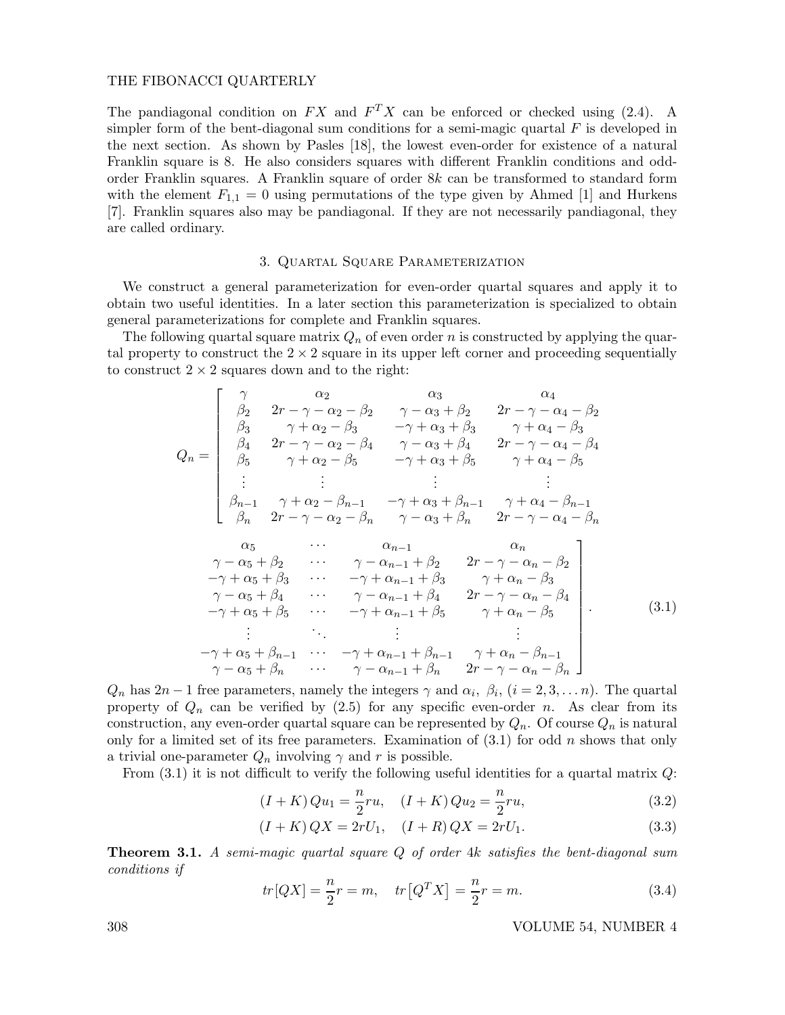The pandiagonal condition on  $FX$  and  $F^TX$  can be enforced or checked using (2.4). A simpler form of the bent-diagonal sum conditions for a semi-magic quartal  $F$  is developed in the next section. As shown by Pasles [18], the lowest even-order for existence of a natural Franklin square is 8. He also considers squares with different Franklin conditions and oddorder Franklin squares. A Franklin square of order 8k can be transformed to standard form with the element  $F_{1,1} = 0$  using permutations of the type given by Ahmed [1] and Hurkens [7]. Franklin squares also may be pandiagonal. If they are not necessarily pandiagonal, they are called ordinary.

## 3. Quartal Square Parameterization

We construct a general parameterization for even-order quartal squares and apply it to obtain two useful identities. In a later section this parameterization is specialized to obtain general parameterizations for complete and Franklin squares.

The following quartal square matrix  $Q_n$  of even order n is constructed by applying the quartal property to construct the  $2 \times 2$  square in its upper left corner and proceeding sequentially to construct  $2 \times 2$  squares down and to the right:

$$
Q_{n} = \begin{bmatrix}\n\gamma & \alpha_{2} & \alpha_{3} & \alpha_{4} \\
\beta_{2} & 2r - \gamma - \alpha_{2} - \beta_{2} & \gamma - \alpha_{3} + \beta_{2} & 2r - \gamma - \alpha_{4} - \beta_{2} \\
\beta_{3} & \gamma + \alpha_{2} - \beta_{3} & -\gamma + \alpha_{3} + \beta_{3} & \gamma + \alpha_{4} - \beta_{3} \\
\beta_{4} & 2r - \gamma - \alpha_{2} - \beta_{4} & \gamma - \alpha_{3} + \beta_{4} & 2r - \gamma - \alpha_{4} - \beta_{4} \\
\beta_{5} & \gamma + \alpha_{2} - \beta_{5} & -\gamma + \alpha_{3} + \beta_{5} & \gamma + \alpha_{4} - \beta_{5} \\
\vdots & \vdots & \vdots & \vdots & \vdots \\
\beta_{n-1} & \gamma + \alpha_{2} - \beta_{n-1} & -\gamma + \alpha_{3} + \beta_{n-1} & \gamma + \alpha_{4} - \beta_{n-1} \\
\beta_{n} & 2r - \gamma - \alpha_{2} - \beta_{n} & \gamma - \alpha_{3} + \beta_{n} & 2r - \gamma - \alpha_{4} - \beta_{n} \\
\alpha_{5} & \cdots & \alpha_{n-1} & \alpha_{n} \\
\gamma - \alpha_{5} + \beta_{2} & \cdots & \gamma - \alpha_{n-1} + \beta_{3} & \gamma + \alpha_{n} - \beta_{3} \\
-\gamma + \alpha_{5} + \beta_{3} & \cdots & -\gamma + \alpha_{n-1} + \beta_{3} & \gamma + \alpha_{n} - \beta_{3} \\
\gamma - \alpha_{5} + \beta_{4} & \cdots & \gamma - \alpha_{n-1} + \beta_{4} & 2r - \gamma - \alpha_{n} - \beta_{4} \\
-\gamma + \alpha_{5} + \beta_{5} & \cdots & -\gamma + \alpha_{n-1} + \beta_{5} & \gamma + \alpha_{n} - \beta_{5} \\
\vdots & \vdots & \vdots & \vdots \\
-\gamma + \alpha_{5} + \beta_{n-1} & \cdots & -\gamma + \alpha_{n-1} + \beta_{n-1} & \gamma + \alpha_{n} - \beta_{n-1} \\
\gamma - \alpha_{5} + \beta_{n} & \cdots & \gamma - \alpha_{n-1} + \beta_{n} & 2r - \gamma - \alpha_{n} - \beta_{n} \\
\end
$$

 $Q_n$  has  $2n-1$  free parameters, namely the integers  $\gamma$  and  $\alpha_i$ ,  $\beta_i$ ,  $(i = 2, 3, \ldots n)$ . The quartal property of  $Q_n$  can be verified by (2.5) for any specific even-order n. As clear from its construction, any even-order quartal square can be represented by  $Q_n$ . Of course  $Q_n$  is natural only for a limited set of its free parameters. Examination of  $(3.1)$  for odd n shows that only a trivial one-parameter  $Q_n$  involving  $\gamma$  and  $r$  is possible.

From  $(3.1)$  it is not difficult to verify the following useful identities for a quartal matrix  $Q$ :

$$
(I + K) Qu_1 = \frac{n}{2} ru, \quad (I + K) Qu_2 = \frac{n}{2} ru,
$$
\n(3.2)

$$
(I + K) QX = 2rU_1, \quad (I + R) QX = 2rU_1.
$$
\n(3.3)

**Theorem 3.1.** A semi-magic quartal square  $Q$  of order 4k satisfies the bent-diagonal sum conditions if

$$
tr[QX] = \frac{n}{2}r = m, \quad tr[Q^TX] = \frac{n}{2}r = m.
$$
 (3.4)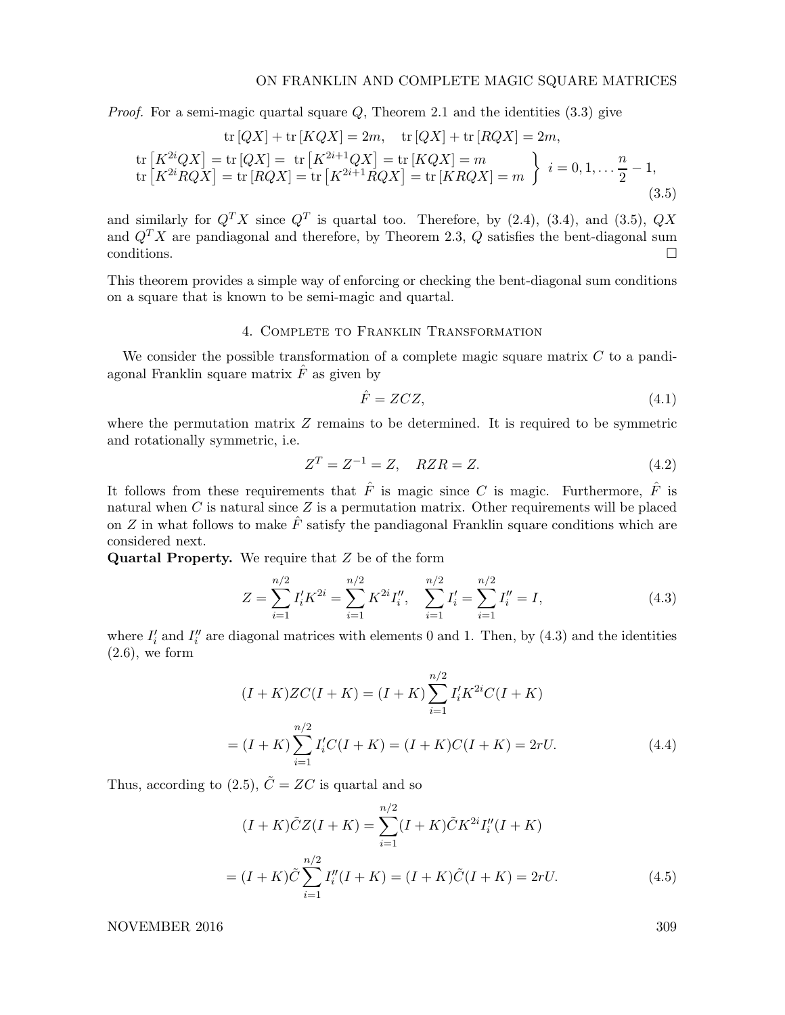*Proof.* For a semi-magic quartal square  $Q$ , Theorem 2.1 and the identities  $(3.3)$  give

$$
\text{tr}\left[QX\right] + \text{tr}\left[KQX\right] = 2m, \quad \text{tr}\left[QX\right] + \text{tr}\left[RQX\right] = 2m,
$$
\n
$$
\text{tr}\left[K^{2i}QX\right] = \text{tr}\left[QX\right] = \text{tr}\left[K^{2i+1}QX\right] = \text{tr}\left[KQX\right] = m
$$
\n
$$
\text{tr}\left[K^{2i}RQX\right] = \text{tr}\left[RQX\right] = \text{tr}\left[K^{2i+1}RQX\right] = \text{tr}\left[KRQX\right] = m
$$
\n
$$
\left.\begin{array}{c} i = 0, 1, \dots, \frac{n}{2} - 1, \\ 2.5 \end{array}\right.
$$
\n
$$
(3.5)
$$

and similarly for  $Q^T X$  since  $Q^T$  is quartal too. Therefore, by (2.4), (3.4), and (3.5),  $QX$ and  $Q^T X$  are pandiagonal and therefore, by Theorem 2.3, Q satisfies the bent-diagonal sum conditions.  $\Box$ 

This theorem provides a simple way of enforcing or checking the bent-diagonal sum conditions on a square that is known to be semi-magic and quartal.

## 4. Complete to Franklin Transformation

We consider the possible transformation of a complete magic square matrix  $C$  to a pandiagonal Franklin square matrix  $\hat{F}$  as given by

$$
\hat{F} = ZCZ,\tag{4.1}
$$

where the permutation matrix  $Z$  remains to be determined. It is required to be symmetric and rotationally symmetric, i.e.

$$
Z^T = Z^{-1} = Z, \quad RZR = Z. \tag{4.2}
$$

It follows from these requirements that  $\hat{F}$  is magic since C is magic. Furthermore,  $\hat{F}$  is natural when  $C$  is natural since  $Z$  is a permutation matrix. Other requirements will be placed on Z in what follows to make  $\hat{F}$  satisfy the pandiagonal Franklin square conditions which are considered next.

Quartal Property. We require that Z be of the form

$$
Z = \sum_{i=1}^{n/2} I'_i K^{2i} = \sum_{i=1}^{n/2} K^{2i} I''_i, \quad \sum_{i=1}^{n/2} I'_i = \sum_{i=1}^{n/2} I''_i = I,
$$
\n(4.3)

where  $I'_i$  and  $I''_i$  are diagonal matrices with elements 0 and 1. Then, by (4.3) and the identities  $(2.6)$ , we form

$$
(I + K)ZC(I + K) = (I + K)\sum_{i=1}^{n/2} I'_i K^{2i} C(I + K)
$$

$$
= (I + K)\sum_{i=1}^{n/2} I'_i C(I + K) = (I + K)C(I + K) = 2rU.
$$
(4.4)

Thus, according to (2.5),  $\tilde{C} = ZC$  is quartal and so

$$
(I + K)\tilde{C}Z(I + K) = \sum_{i=1}^{n/2} (I + K)\tilde{C}K^{2i}I''_i(I + K)
$$
  
=  $(I + K)\tilde{C}\sum_{i=1}^{n/2}I''_i(I + K) = (I + K)\tilde{C}(I + K) = 2rU.$  (4.5)

NOVEMBER 2016 309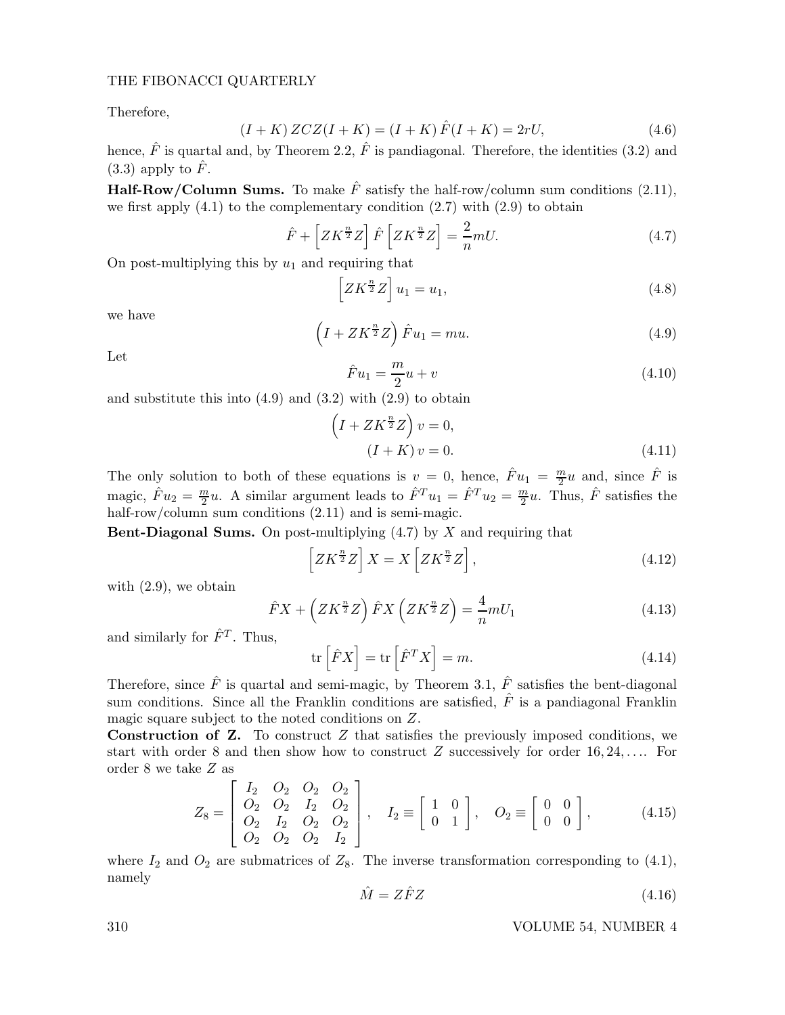Therefore,

$$
(I + K) ZCZ(I + K) = (I + K)\hat{F}(I + K) = 2rU,
$$
\n(4.6)

hence,  $\hat{F}$  is quartal and, by Theorem 2.2,  $\hat{F}$  is pandiagonal. Therefore, the identities (3.2) and  $(3.3)$  apply to  $\hat{F}$ .

**Half-Row/Column Sums.** To make  $\hat{F}$  satisfy the half-row/column sum conditions (2.11), we first apply  $(4.1)$  to the complementary condition  $(2.7)$  with  $(2.9)$  to obtain

$$
\hat{F} + \left[ ZK^{\frac{n}{2}} Z \right] \hat{F} \left[ ZK^{\frac{n}{2}} Z \right] = \frac{2}{n} mU. \tag{4.7}
$$

On post-multiplying this by  $u_1$  and requiring that

$$
\[ZK^{\frac{n}{2}}Z\]u_1 = u_1,\tag{4.8}
$$

we have

$$
\left(I + ZK^{\frac{n}{2}}Z\right)\hat{F}u_1 = mu.
$$
\n(4.9)

Let

$$
\hat{F}u_1 = \frac{m}{2}u + v\tag{4.10}
$$

and substitute this into  $(4.9)$  and  $(3.2)$  with  $(2.9)$  to obtain

$$
\left(I + ZK^{\frac{n}{2}}Z\right)v = 0,
$$
  
\n
$$
(I + K)v = 0.
$$
\n(4.11)

The only solution to both of these equations is  $v = 0$ , hence,  $\hat{F}u_1 = \frac{m}{2}u$  and, since  $\hat{F}$  is magic,  $\hat{F}u_2 = \frac{m}{2}u$ . A similar argument leads to  $\hat{F}^T u_1 = \hat{F}^T u_2 = \frac{m}{2}u$ . Thus,  $\hat{F}$  satisfies the half-row/column sum conditions  $(2.11)$  and is semi-magic.

**Bent-Diagonal Sums.** On post-multiplying  $(4.7)$  by X and requiring that

$$
\[ZK^{\frac{n}{2}}Z\]X=X\left[ZK^{\frac{n}{2}}Z\right],\tag{4.12}
$$

with (2.9), we obtain

$$
\hat{F}X + \left(ZK^{\frac{n}{2}}Z\right)\hat{F}X\left(ZK^{\frac{n}{2}}Z\right) = \frac{4}{n}mU_1\tag{4.13}
$$

and similarly for  $\hat{F}^T$ . Thus,

$$
\operatorname{tr}\left[\hat{F}X\right] = \operatorname{tr}\left[\hat{F}^T X\right] = m. \tag{4.14}
$$

Therefore, since  $\hat{F}$  is quartal and semi-magic, by Theorem 3.1,  $\hat{F}$  satisfies the bent-diagonal sum conditions. Since all the Franklin conditions are satisfied,  $\hat{F}$  is a pandiagonal Franklin magic square subject to the noted conditions on Z.

**Construction of Z.** To construct  $Z$  that satisfies the previously imposed conditions, we start with order 8 and then show how to construct  $Z$  successively for order 16, 24, .... For order 8 we take Z as

$$
Z_8 = \begin{bmatrix} I_2 & O_2 & O_2 & O_2 \\ O_2 & O_2 & I_2 & O_2 \\ O_2 & I_2 & O_2 & O_2 \\ O_2 & O_2 & O_2 & I_2 \end{bmatrix}, \quad I_2 \equiv \begin{bmatrix} 1 & 0 \\ 0 & 1 \end{bmatrix}, \quad O_2 \equiv \begin{bmatrix} 0 & 0 \\ 0 & 0 \end{bmatrix}, \quad (4.15)
$$

where  $I_2$  and  $O_2$  are submatrices of  $Z_8$ . The inverse transformation corresponding to (4.1), namely

$$
\hat{M} = Z\hat{F}Z\tag{4.16}
$$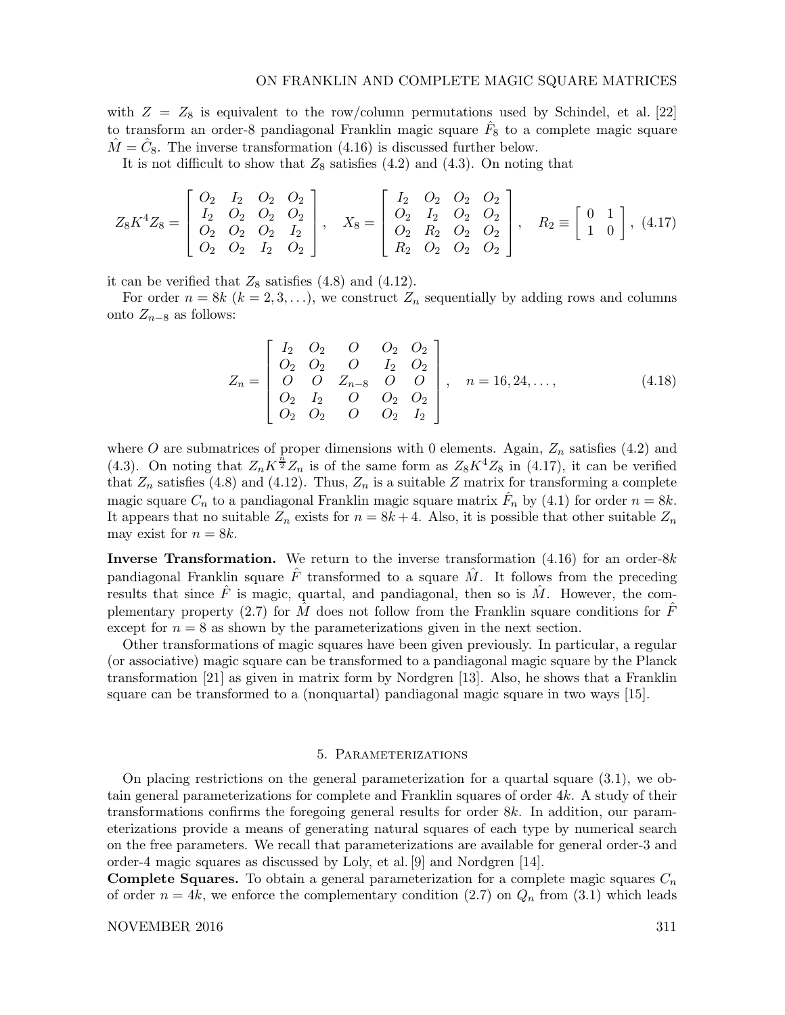with  $Z = Z_8$  is equivalent to the row/column permutations used by Schindel, et al. [22] to transform an order-8 pandiagonal Franklin magic square  $\hat{F}_8$  to a complete magic square  $\hat{M} = \hat{C}_8$ . The inverse transformation (4.16) is discussed further below.

It is not difficult to show that  $Z_8$  satisfies (4.2) and (4.3). On noting that

$$
Z_8 K^4 Z_8 = \begin{bmatrix} O_2 & I_2 & O_2 & O_2 \ I_2 & O_2 & O_2 \ O_2 & O_2 & I_2 \ O_2 & O_2 & I_2 \ O_2 & O_2 & I_2 \ O_2 & I_2 & O_2 \end{bmatrix}, \quad X_8 = \begin{bmatrix} I_2 & O_2 & O_2 & O_2 \ O_2 & I_2 & O_2 & O_2 \ O_2 & R_2 & O_2 & O_2 \ R_2 & O_2 & O_2 & O_2 \end{bmatrix}, \quad R_2 \equiv \begin{bmatrix} 0 & 1 \ 1 & 0 \end{bmatrix}, (4.17)
$$

it can be verified that  $Z_8$  satisfies (4.8) and (4.12).

For order  $n = 8k$   $(k = 2, 3, ...)$ , we construct  $Z_n$  sequentially by adding rows and columns onto  $Z_{n-8}$  as follows:

$$
Z_n = \begin{bmatrix} I_2 & O_2 & O & O_2 & O_2 \\ O_2 & O_2 & O & I_2 & O_2 \\ O & O & Z_{n-8} & O & O \\ O_2 & I_2 & O & O_2 & O_2 \\ O_2 & O_2 & O & O_2 & I_2 \end{bmatrix}, \quad n = 16, 24, ..., \quad (4.18)
$$

where O are submatrices of proper dimensions with 0 elements. Again,  $Z_n$  satisfies (4.2) and (4.3). On noting that  $Z_n K^{\frac{n}{2}} Z_n$  is of the same form as  $Z_8 K^4 Z_8$  in (4.17), it can be verified that  $Z_n$  satisfies (4.8) and (4.12). Thus,  $Z_n$  is a suitable Z matrix for transforming a complete magic square  $C_n$  to a pandiagonal Franklin magic square matrix  $\hat{F}_n$  by (4.1) for order  $n = 8k$ . It appears that no suitable  $Z_n$  exists for  $n = 8k + 4$ . Also, it is possible that other suitable  $Z_n$ may exist for  $n = 8k$ .

Inverse Transformation. We return to the inverse transformation  $(4.16)$  for an order-8k pandiagonal Franklin square  $\hat{F}$  transformed to a square  $\hat{M}$ . It follows from the preceding results that since  $\hat{F}$  is magic, quartal, and pandiagonal, then so is  $\hat{M}$ . However, the complementary property (2.7) for M does not follow from the Franklin square conditions for F except for  $n = 8$  as shown by the parameterizations given in the next section.

Other transformations of magic squares have been given previously. In particular, a regular (or associative) magic square can be transformed to a pandiagonal magic square by the Planck transformation [21] as given in matrix form by Nordgren [13]. Also, he shows that a Franklin square can be transformed to a (nonquartal) pandiagonal magic square in two ways [15].

## 5. Parameterizations

On placing restrictions on the general parameterization for a quartal square (3.1), we obtain general parameterizations for complete and Franklin squares of order 4k. A study of their transformations confirms the foregoing general results for order 8k. In addition, our parameterizations provide a means of generating natural squares of each type by numerical search on the free parameters. We recall that parameterizations are available for general order-3 and order-4 magic squares as discussed by Loly, et al. [9] and Nordgren [14].

**Complete Squares.** To obtain a general parameterization for a complete magic squares  $C_n$ of order  $n = 4k$ , we enforce the complementary condition (2.7) on  $Q_n$  from (3.1) which leads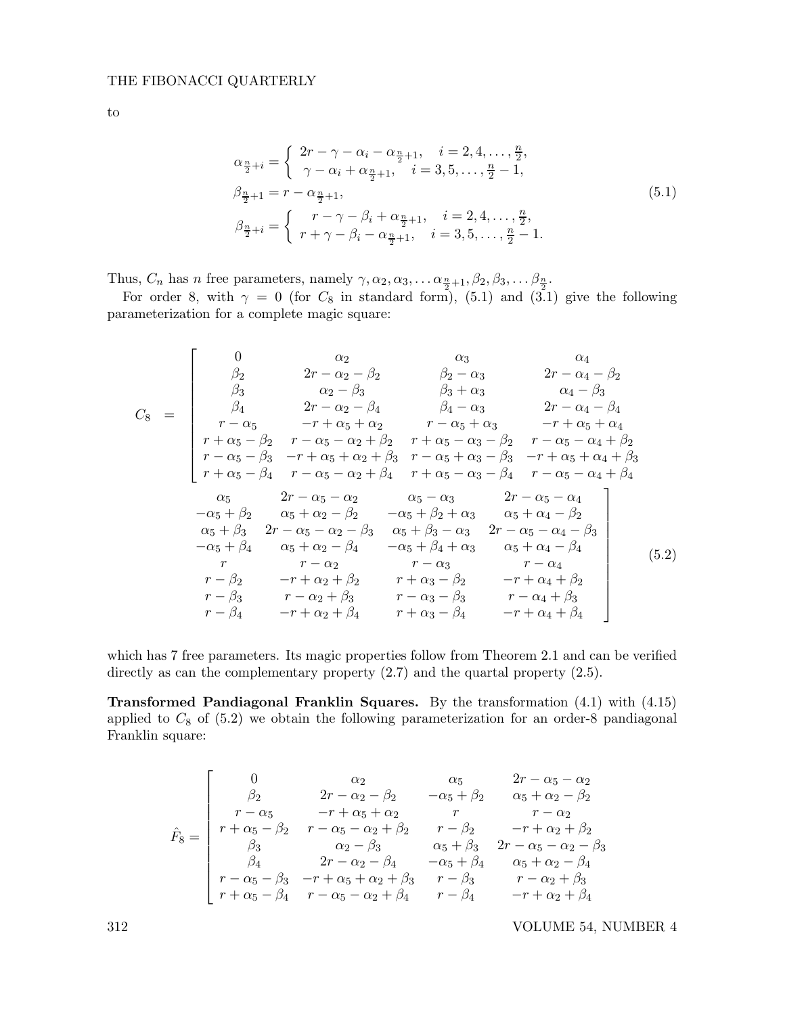$$
\quad\text{to}\quad
$$

$$
\alpha_{\frac{n}{2}+i} = \begin{cases}\n2r - \gamma - \alpha_i - \alpha_{\frac{n}{2}+1}, & i = 2, 4, \dots, \frac{n}{2}, \\
\gamma - \alpha_i + \alpha_{\frac{n}{2}+1}, & i = 3, 5, \dots, \frac{n}{2} - 1, \\
\beta_{\frac{n}{2}+1} = r - \alpha_{\frac{n}{2}+1}, & i = 2, 4, \dots, \frac{n}{2}, \\
r - \gamma - \beta_i + \alpha_{\frac{n}{2}+1}, & i = 2, 4, \dots, \frac{n}{2} - 1.\n\end{cases}
$$
\n(5.1)

Thus,  $C_n$  has *n* free parameters, namely  $\gamma, \alpha_2, \alpha_3, \ldots \alpha_{\frac{n}{2}+1}, \beta_2, \beta_3, \ldots \beta_{\frac{n}{2}}.$ 

For order 8, with  $\gamma = 0$  (for  $C_8$  in standard form), (5.1) and (3.1) give the following parameterization for a complete magic square:

$$
C_8 = \begin{bmatrix}\n0 & \alpha_2 & \alpha_3 & \alpha_4 \\
\beta_2 & 2r - \alpha_2 - \beta_2 & \beta_2 - \alpha_3 & 2r - \alpha_4 - \beta_2 \\
\beta_3 & \alpha_2 - \beta_3 & \beta_3 + \alpha_3 & \alpha_4 - \beta_3 \\
r - \alpha_5 & -r + \alpha_5 + \alpha_2 & r - \alpha_5 + \alpha_3 & -r + \alpha_5 + \alpha_4 \\
r + \alpha_5 - \beta_2 & r - \alpha_5 - \alpha_2 + \beta_2 & r + \alpha_5 - \alpha_3 - \beta_2 & r - \alpha_5 - \alpha_4 + \beta_2 \\
r - \alpha_5 - \beta_3 & -r + \alpha_5 + \alpha_2 + \beta_3 & r - \alpha_5 + \alpha_3 - \beta_3 & -r + \alpha_5 + \alpha_4 + \beta_3 \\
r + \alpha_5 - \beta_4 & r - \alpha_5 - \alpha_2 + \beta_4 & r + \alpha_5 - \alpha_3 - \beta_4 & r - \alpha_5 - \alpha_4 + \beta_4 \\
\alpha_5 & 2r - \alpha_5 - \alpha_2 & \alpha_5 - \alpha_3 & 2r - \alpha_5 - \alpha_4 \\
-\alpha_5 + \beta_2 & \alpha_5 + \alpha_2 - \beta_2 & -\alpha_5 + \beta_2 + \alpha_3 & \alpha_5 + \alpha_4 - \beta_2 \\
\alpha_5 + \beta_3 & 2r - \alpha_5 - \alpha_2 - \beta_3 & \alpha_5 + \beta_3 - \alpha_3 & 2r - \alpha_5 - \alpha_4 - \beta_3 \\
-\alpha_5 + \beta_4 & \alpha_5 + \alpha_2 - \beta_4 & -\alpha_5 + \beta_4 + \alpha_3 & \alpha_5 + \alpha_4 - \beta_4 \\
r - \beta_2 & -r + \alpha_2 + \beta_2 & r + \alpha_3 - \beta_2 & -r + \alpha_4 + \beta_2 \\
r - \beta_3 & r - \alpha_2 + \beta_3 & r - \alpha_3 - \beta_3 & r - \alpha_4 + \beta_3 \\
r - \beta_4 & -r + \alpha_2 + \beta_4 & r + \alpha_3 - \beta_4 & -r + \alpha_4 + \beta_4\n\end{bmatrix}
$$
(5.2)

which has 7 free parameters. Its magic properties follow from Theorem 2.1 and can be verified directly as can the complementary property  $(2.7)$  and the quartal property  $(2.5)$ .

Transformed Pandiagonal Franklin Squares. By the transformation (4.1) with (4.15) applied to  $C_8$  of  $(5.2)$  we obtain the following parameterization for an order-8 pandiagonal Franklin square:

$$
\hat{F}_8 = \begin{bmatrix}\n0 & \alpha_2 & \alpha_5 & 2r - \alpha_5 - \alpha_2 \\
\beta_2 & 2r - \alpha_2 - \beta_2 & -\alpha_5 + \beta_2 & \alpha_5 + \alpha_2 - \beta_2 \\
r - \alpha_5 & -r + \alpha_5 + \alpha_2 & r & r - \alpha_2 \\
r + \alpha_5 - \beta_2 & r - \alpha_5 - \alpha_2 + \beta_2 & r - \beta_2 & -r + \alpha_2 + \beta_2 \\
\beta_3 & \alpha_2 - \beta_3 & \alpha_5 + \beta_3 & 2r - \alpha_5 - \alpha_2 - \beta_3 \\
\beta_4 & 2r - \alpha_2 - \beta_4 & -\alpha_5 + \beta_4 & \alpha_5 + \alpha_2 - \beta_4 \\
r - \alpha_5 - \beta_3 & -r + \alpha_5 + \alpha_2 + \beta_3 & r - \beta_3 & r - \alpha_2 + \beta_3 \\
r + \alpha_5 - \beta_4 & r - \alpha_5 - \alpha_2 + \beta_4 & r - \beta_4 & -r + \alpha_2 + \beta_4\n\end{bmatrix}
$$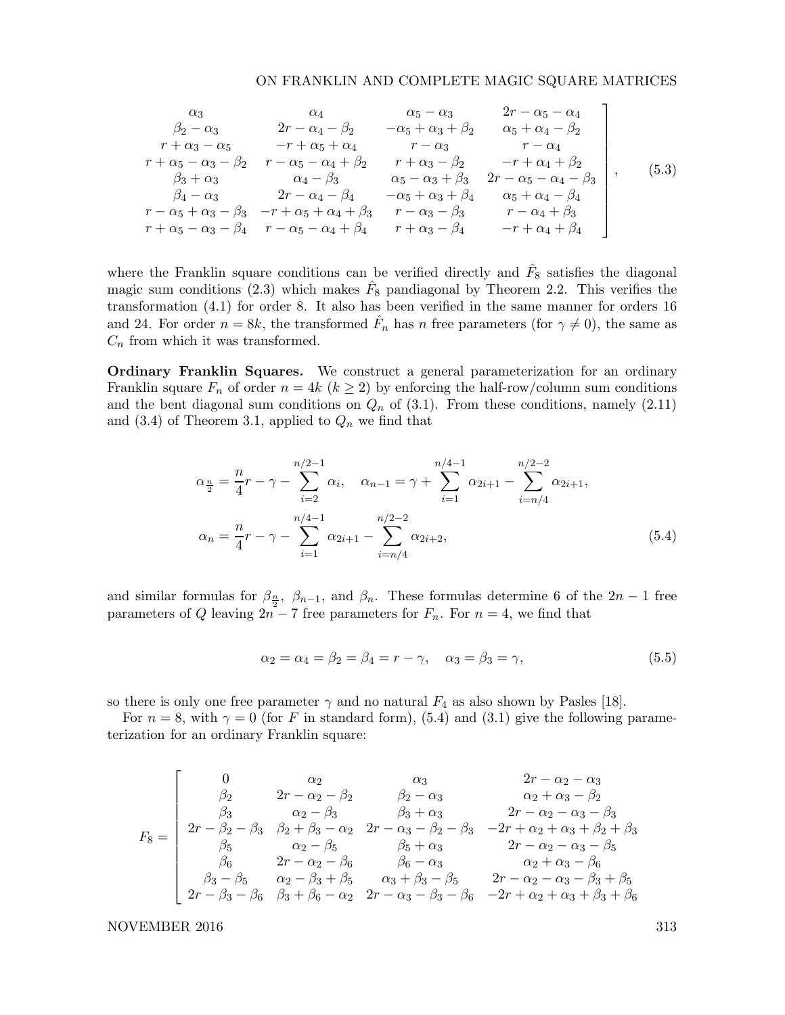$$
\begin{array}{ccccccccc}\n\alpha_{3} & \alpha_{4} & \alpha_{5} - \alpha_{3} & 2r - \alpha_{5} - \alpha_{4} \\
\beta_{2} - \alpha_{3} & 2r - \alpha_{4} - \beta_{2} & -\alpha_{5} + \alpha_{3} + \beta_{2} & \alpha_{5} + \alpha_{4} - \beta_{2} \\
r + \alpha_{3} - \alpha_{5} & -r + \alpha_{5} + \alpha_{4} & r - \alpha_{3} & r - \alpha_{4} \\
r + \alpha_{5} - \alpha_{3} - \beta_{2} & r - \alpha_{5} - \alpha_{4} + \beta_{2} & r + \alpha_{3} - \beta_{2} & -r + \alpha_{4} + \beta_{2} \\
\beta_{3} + \alpha_{3} & \alpha_{4} - \beta_{3} & \alpha_{5} - \alpha_{3} + \beta_{3} & 2r - \alpha_{5} - \alpha_{4} - \beta_{3} \\
\beta_{4} - \alpha_{3} & 2r - \alpha_{4} - \beta_{4} & -\alpha_{5} + \alpha_{3} + \beta_{4} & \alpha_{5} + \alpha_{4} - \beta_{4} \\
r - \alpha_{5} + \alpha_{3} - \beta_{3} & -r + \alpha_{5} + \alpha_{4} + \beta_{3} & r - \alpha_{3} - \beta_{3} & r - \alpha_{4} + \beta_{3} \\
r + \alpha_{5} - \alpha_{3} - \beta_{4} & r - \alpha_{5} - \alpha_{4} + \beta_{4} & r + \alpha_{3} - \beta_{4} & -r + \alpha_{4} + \beta_{4}\n\end{array}
$$
\n(5.3)

where the Franklin square conditions can be verified directly and  $\hat{F}_8$  satisfies the diagonal magic sum conditions (2.3) which makes  $\hat{F}_8$  pandiagonal by Theorem 2.2. This verifies the transformation (4.1) for order 8. It also has been verified in the same manner for orders 16 and 24. For order  $n = 8k$ , the transformed  $\hat{F}_n$  has n free parameters (for  $\gamma \neq 0$ ), the same as  $C_n$  from which it was transformed.

Ordinary Franklin Squares. We construct a general parameterization for an ordinary Franklin square  $F_n$  of order  $n = 4k$   $(k \geq 2)$  by enforcing the half-row/column sum conditions and the bent diagonal sum conditions on  $Q_n$  of (3.1). From these conditions, namely (2.11) and (3.4) of Theorem 3.1, applied to  $Q_n$  we find that

$$
\alpha_{\frac{n}{2}} = \frac{n}{4}r - \gamma - \sum_{i=2}^{n/2-1} \alpha_i, \quad \alpha_{n-1} = \gamma + \sum_{i=1}^{n/4-1} \alpha_{2i+1} - \sum_{i=n/4}^{n/2-2} \alpha_{2i+1},
$$

$$
\alpha_n = \frac{n}{4}r - \gamma - \sum_{i=1}^{n/4-1} \alpha_{2i+1} - \sum_{i=n/4}^{n/2-2} \alpha_{2i+2},
$$
(5.4)

and similar formulas for  $\beta_{\frac{n}{2}}$ ,  $\beta_{n-1}$ , and  $\beta_n$ . These formulas determine 6 of the  $2n-1$  free parameters of Q leaving  $2n - 7$  free parameters for  $F_n$ . For  $n = 4$ , we find that

$$
\alpha_2 = \alpha_4 = \beta_2 = \beta_4 = r - \gamma, \quad \alpha_3 = \beta_3 = \gamma,
$$
\n
$$
(5.5)
$$

so there is only one free parameter  $\gamma$  and no natural  $F_4$  as also shown by Pasles [18].

For  $n = 8$ , with  $\gamma = 0$  (for F in standard form), (5.4) and (3.1) give the following parameterization for an ordinary Franklin square:

$$
F_8 = \begin{bmatrix}\n0 & \alpha_2 & \alpha_3 & 2r - \alpha_2 - \alpha_3 \\
\beta_2 & 2r - \alpha_2 - \beta_2 & \beta_2 - \alpha_3 & \alpha_2 + \alpha_3 - \beta_2 \\
\beta_3 & \alpha_2 - \beta_3 & \beta_3 + \alpha_3 & 2r - \alpha_2 - \alpha_3 - \beta_3 \\
2r - \beta_2 - \beta_3 & \beta_2 + \beta_3 - \alpha_2 & 2r - \alpha_3 - \beta_2 - \beta_3 & -2r + \alpha_2 + \alpha_3 + \beta_2 + \beta_3 \\
\beta_5 & \alpha_2 - \beta_5 & \beta_5 + \alpha_3 & 2r - \alpha_2 - \alpha_3 - \beta_5 \\
\beta_6 & 2r - \alpha_2 - \beta_6 & \beta_6 - \alpha_3 & \alpha_2 + \alpha_3 - \beta_6 \\
\beta_3 - \beta_5 & \alpha_2 - \beta_3 + \beta_5 & \alpha_3 + \beta_3 - \beta_5 & 2r - \alpha_2 - \alpha_3 - \beta_3 + \beta_5 \\
2r - \beta_3 - \beta_6 & \beta_3 + \beta_6 - \alpha_2 & 2r - \alpha_3 - \beta_3 - \beta_6 & -2r + \alpha_2 + \alpha_3 + \beta_3 + \beta_6\n\end{bmatrix}
$$

NOVEMBER 2016 313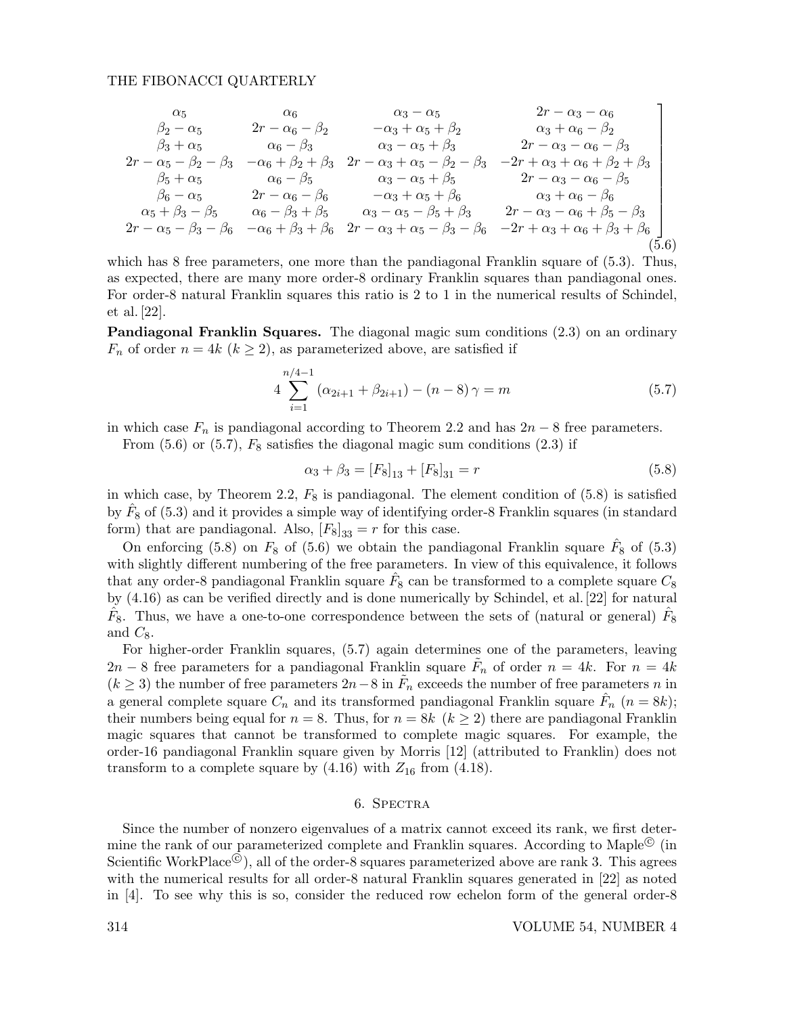$$
\begin{array}{ccccccccc}\n\alpha_{5} & \alpha_{6} & \alpha_{3} - \alpha_{5} & 2r - \alpha_{3} - \alpha_{6} \\
\beta_{2} - \alpha_{5} & 2r - \alpha_{6} - \beta_{2} & -\alpha_{3} + \alpha_{5} + \beta_{2} & \alpha_{3} + \alpha_{6} - \beta_{2} \\
\beta_{3} + \alpha_{5} & \alpha_{6} - \beta_{3} & \alpha_{3} - \alpha_{5} + \beta_{3} & 2r - \alpha_{3} - \alpha_{6} - \beta_{3} \\
2r - \alpha_{5} - \beta_{2} - \beta_{3} & -\alpha_{6} + \beta_{2} + \beta_{3} & 2r - \alpha_{3} + \alpha_{5} - \beta_{2} - \beta_{3} & -2r + \alpha_{3} + \alpha_{6} + \beta_{2} + \beta_{3} \\
\beta_{5} + \alpha_{5} & \alpha_{6} - \beta_{5} & \alpha_{3} - \alpha_{5} + \beta_{5} & 2r - \alpha_{3} - \alpha_{6} - \beta_{5} \\
\beta_{6} - \alpha_{5} & 2r - \alpha_{6} - \beta_{6} & -\alpha_{3} + \alpha_{5} + \beta_{6} & \alpha_{3} + \alpha_{6} - \beta_{6} \\
\alpha_{5} + \beta_{3} - \beta_{5} & \alpha_{6} - \beta_{3} + \beta_{5} & \alpha_{3} - \alpha_{5} - \beta_{5} + \beta_{3} & 2r - \alpha_{3} - \alpha_{6} + \beta_{5} - \beta_{3} \\
2r - \alpha_{5} - \beta_{3} - \beta_{6} & -\alpha_{6} + \beta_{3} + \beta_{6} & 2r - \alpha_{3} + \alpha_{5} - \beta_{3} - \beta_{6} & -2r + \alpha_{3} + \alpha_{6} + \beta_{3} + \beta_{6}\n\end{array}
$$
\n(5.6)

which has 8 free parameters, one more than the pandiagonal Franklin square of  $(5.3)$ . Thus, as expected, there are many more order-8 ordinary Franklin squares than pandiagonal ones. For order-8 natural Franklin squares this ratio is 2 to 1 in the numerical results of Schindel, et al. [22].

Pandiagonal Franklin Squares. The diagonal magic sum conditions (2.3) on an ordinary  $F_n$  of order  $n = 4k$   $(k \geq 2)$ , as parameterized above, are satisfied if

$$
4\sum_{i=1}^{n/4-1} (\alpha_{2i+1} + \beta_{2i+1}) - (n-8)\gamma = m \tag{5.7}
$$

in which case  $F_n$  is pandiagonal according to Theorem 2.2 and has  $2n - 8$  free parameters.

From  $(5.6)$  or  $(5.7)$ ,  $F_8$  satisfies the diagonal magic sum conditions  $(2.3)$  if

$$
\alpha_3 + \beta_3 = [F_8]_{13} + [F_8]_{31} = r \tag{5.8}
$$

in which case, by Theorem 2.2,  $F_8$  is pandiagonal. The element condition of  $(5.8)$  is satisfied by  $\hat{F}_8$  of (5.3) and it provides a simple way of identifying order-8 Franklin squares (in standard form) that are pandiagonal. Also,  $[F_8]_{33} = r$  for this case.

On enforcing (5.8) on  $F_8$  of (5.6) we obtain the pandiagonal Franklin square  $\hat{F}_8$  of (5.3) with slightly different numbering of the free parameters. In view of this equivalence, it follows that any order-8 pandiagonal Franklin square  $\hat{F}_8$  can be transformed to a complete square  $C_8$ by (4.16) as can be verified directly and is done numerically by Schindel, et al. [22] for natural  $\hat{F}_8$ . Thus, we have a one-to-one correspondence between the sets of (natural or general)  $\hat{F}_8$ and  $C_8$ .

For higher-order Franklin squares, (5.7) again determines one of the parameters, leaving  $2n-8$  free parameters for a pandiagonal Franklin square  $\tilde{F}_n$  of order  $n=4k$ . For  $n=4k$  $(k \geq 3)$  the number of free parameters  $2n-8$  in  $\tilde{F}_n$  exceeds the number of free parameters n in a general complete square  $C_n$  and its transformed pandiagonal Franklin square  $\hat{F}_n$   $(n = 8k)$ ; their numbers being equal for  $n = 8$ . Thus, for  $n = 8k$  ( $k \ge 2$ ) there are pandiagonal Franklin magic squares that cannot be transformed to complete magic squares. For example, the order-16 pandiagonal Franklin square given by Morris [12] (attributed to Franklin) does not transform to a complete square by  $(4.16)$  with  $Z_{16}$  from  $(4.18)$ .

## 6. Spectra

Since the number of nonzero eigenvalues of a matrix cannot exceed its rank, we first determine the rank of our parameterized complete and Franklin squares. According to Maple<sup>©</sup> (in Scientific WorkPlace  $\overline{Q}$ ), all of the order-8 squares parameterized above are rank 3. This agrees with the numerical results for all order-8 natural Franklin squares generated in [22] as noted in [4]. To see why this is so, consider the reduced row echelon form of the general order-8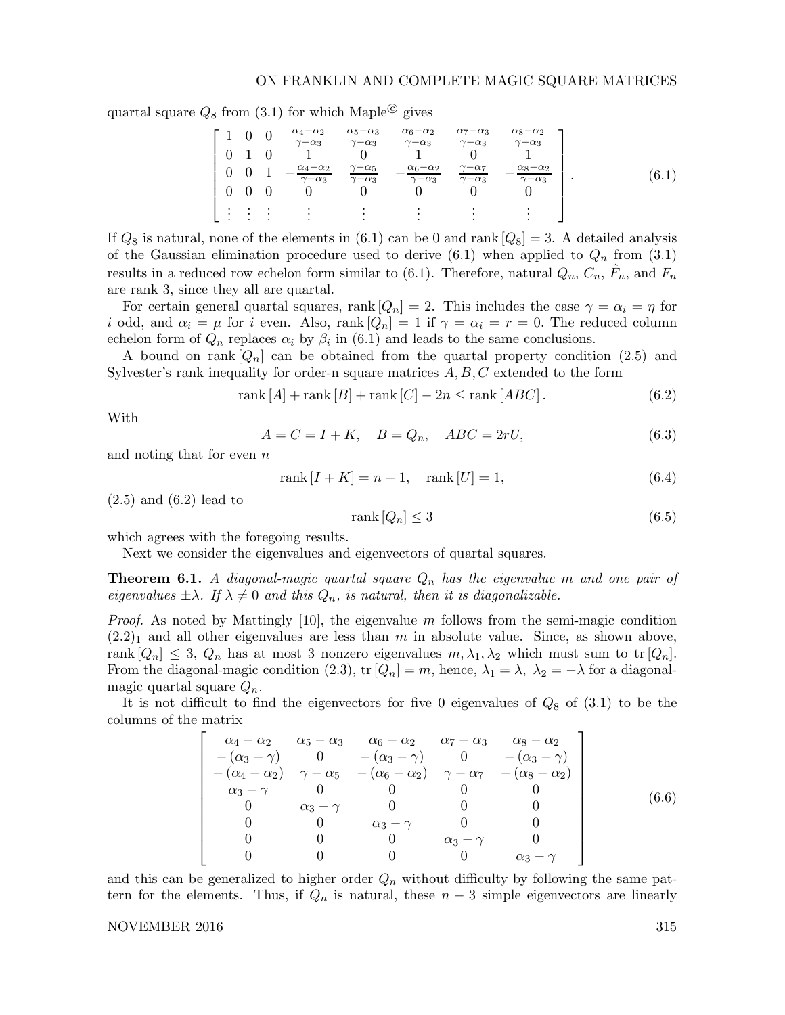quartal square  $Q_8$  from  $(3.1)$  for which Maple<sup>©</sup> gives

$$
\begin{bmatrix}\n1 & 0 & 0 & \frac{\alpha_4 - \alpha_2}{\gamma - \alpha_3} & \frac{\alpha_5 - \alpha_3}{\gamma - \alpha_3} & \frac{\alpha_6 - \alpha_2}{\gamma - \alpha_3} & \frac{\alpha_7 - \alpha_3}{\gamma - \alpha_3} & \frac{\alpha_8 - \alpha_2}{\gamma - \alpha_3} \\
0 & 1 & 0 & 1 & 0 & 1 & 0 & 1 \\
0 & 0 & 1 & -\frac{\alpha_4 - \alpha_2}{\gamma - \alpha_3} & \frac{\gamma - \alpha_5}{\gamma - \alpha_3} & -\frac{\alpha_6 - \alpha_2}{\gamma - \alpha_3} & \frac{\gamma - \alpha_7}{\gamma - \alpha_3} & -\frac{\alpha_8 - \alpha_2}{\gamma - \alpha_3} \\
\vdots & \vdots & \vdots & \vdots & \vdots & \vdots & \vdots\n\end{bmatrix}.
$$
\n(6.1)

If  $Q_8$  is natural, none of the elements in (6.1) can be 0 and rank  $[Q_8] = 3$ . A detailed analysis of the Gaussian elimination procedure used to derive  $(6.1)$  when applied to  $Q_n$  from  $(3.1)$ results in a reduced row echelon form similar to (6.1). Therefore, natural  $Q_n$ ,  $C_n$ ,  $\hat{F}_n$ , and  $F_n$ are rank 3, since they all are quartal.

For certain general quartal squares, rank  $[Q_n] = 2$ . This includes the case  $\gamma = \alpha_i = \eta$  for i odd, and  $\alpha_i = \mu$  for i even. Also, rank  $[Q_n] = 1$  if  $\gamma = \alpha_i = r = 0$ . The reduced column echelon form of  $Q_n$  replaces  $\alpha_i$  by  $\beta_i$  in (6.1) and leads to the same conclusions.

A bound on rank  $[Q_n]$  can be obtained from the quartal property condition (2.5) and Sylvester's rank inequality for order-n square matrices  $A, B, C$  extended to the form

$$
rank [A] + rank [B] + rank [C] - 2n \le rank [ABC]. \qquad (6.2)
$$

With

$$
A = C = I + K, \quad B = Q_n, \quad ABC = 2rU,
$$
\n
$$
(6.3)
$$

and noting that for even  $n$ 

$$
rank [I + K] = n - 1, rank [U] = 1,
$$
\n(6.4)

 $(2.5)$  and  $(6.2)$  lead to

$$
rank[Q_n] \le 3 \tag{6.5}
$$

which agrees with the foregoing results.

Next we consider the eigenvalues and eigenvectors of quartal squares.

**Theorem 6.1.** A diagonal-magic quartal square  $Q_n$  has the eigenvalue m and one pair of eigenvalues  $\pm \lambda$ . If  $\lambda \neq 0$  and this  $Q_n$ , is natural, then it is diagonalizable.

*Proof.* As noted by Mattingly [10], the eigenvalue m follows from the semi-magic condition  $(2.2)_1$  and all other eigenvalues are less than m in absolute value. Since, as shown above, rank  $[Q_n] \leq 3$ ,  $Q_n$  has at most 3 nonzero eigenvalues  $m, \lambda_1, \lambda_2$  which must sum to tr  $[Q_n]$ . From the diagonal-magic condition (2.3), tr  $[Q_n] = m$ , hence,  $\lambda_1 = \lambda$ ,  $\lambda_2 = -\lambda$  for a diagonalmagic quartal square  $Q_n$ .

It is not difficult to find the eigenvectors for five 0 eigenvalues of  $Q_8$  of  $(3.1)$  to be the columns of the matrix

$$
\begin{bmatrix}\n\alpha_4 - \alpha_2 & \alpha_5 - \alpha_3 & \alpha_6 - \alpha_2 & \alpha_7 - \alpha_3 & \alpha_8 - \alpha_2 \\
-(\alpha_3 - \gamma) & 0 & -(\alpha_3 - \gamma) & 0 & -(\alpha_3 - \gamma) \\
-(\alpha_4 - \alpha_2) & \gamma - \alpha_5 & -(\alpha_6 - \alpha_2) & \gamma - \alpha_7 & -(\alpha_8 - \alpha_2) \\
\alpha_3 - \gamma & 0 & 0 & 0 & 0 \\
0 & \alpha_3 - \gamma & 0 & 0 & 0 \\
0 & 0 & \alpha_3 - \gamma & 0 & 0 \\
0 & 0 & 0 & \alpha_3 - \gamma & 0 \\
0 & 0 & 0 & 0 & \alpha_3 - \gamma\n\end{bmatrix}
$$
\n(6.6)

and this can be generalized to higher order  $Q_n$  without difficulty by following the same pattern for the elements. Thus, if  $Q_n$  is natural, these  $n-3$  simple eigenvectors are linearly

## NOVEMBER 2016 315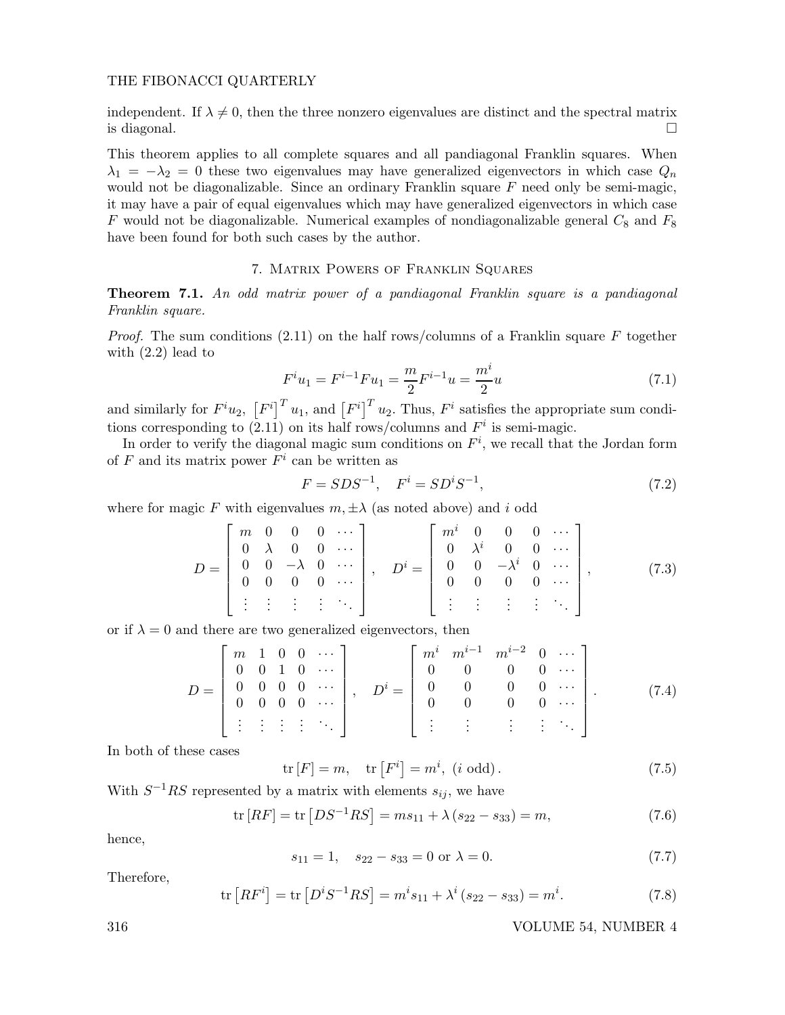independent. If  $\lambda \neq 0$ , then the three nonzero eigenvalues are distinct and the spectral matrix is diagonal.  $\square$ 

This theorem applies to all complete squares and all pandiagonal Franklin squares. When  $\lambda_1 = -\lambda_2 = 0$  these two eigenvalues may have generalized eigenvectors in which case  $Q_n$ would not be diagonalizable. Since an ordinary Franklin square  $F$  need only be semi-magic, it may have a pair of equal eigenvalues which may have generalized eigenvectors in which case F would not be diagonalizable. Numerical examples of nondiagonalizable general  $C_8$  and  $F_8$ have been found for both such cases by the author.

## 7. Matrix Powers of Franklin Squares

Theorem 7.1. An odd matrix power of a pandiagonal Franklin square is a pandiagonal Franklin square.

*Proof.* The sum conditions (2.11) on the half rows/columns of a Franklin square F together with  $(2.2)$  lead to

$$
F^{i}u_{1} = F^{i-1}Fu_{1} = \frac{m}{2}F^{i-1}u = \frac{m^{i}}{2}u
$$
\n(7.1)

and similarly for  $F^i u_2$ ,  $[F^i]^T u_1$ , and  $[F^i]^T u_2$ . Thus,  $F^i$  satisfies the appropriate sum conditions corresponding to (2.11) on its half rows/columns and  $F<sup>i</sup>$  is semi-magic.

In order to verify the diagonal magic sum conditions on  $F<sup>i</sup>$ , we recall that the Jordan form of  $F$  and its matrix power  $F^i$  can be written as

$$
F = SDS^{-1}, \quad F^i = SD^i S^{-1}, \tag{7.2}
$$

where for magic F with eigenvalues  $m, \pm \lambda$  (as noted above) and i odd

$$
D = \begin{bmatrix} m & 0 & 0 & 0 & \cdots \\ 0 & \lambda & 0 & 0 & \cdots \\ 0 & 0 & -\lambda & 0 & \cdots \\ 0 & 0 & 0 & 0 & \cdots \\ \vdots & \vdots & \vdots & \vdots & \ddots \end{bmatrix}, \quad D^{i} = \begin{bmatrix} m^{i} & 0 & 0 & 0 & \cdots \\ 0 & \lambda^{i} & 0 & 0 & \cdots \\ 0 & 0 & -\lambda^{i} & 0 & \cdots \\ 0 & 0 & 0 & 0 & \cdots \\ \vdots & \vdots & \vdots & \vdots & \ddots \end{bmatrix}, \quad (7.3)
$$

or if  $\lambda = 0$  and there are two generalized eigenvectors, then

$$
D = \begin{bmatrix} m & 1 & 0 & 0 & \cdots \\ 0 & 0 & 1 & 0 & \cdots \\ 0 & 0 & 0 & 0 & \cdots \\ 0 & 0 & 0 & 0 & \cdots \\ \vdots & \vdots & \vdots & \vdots & \ddots \end{bmatrix}, \quad D^{i} = \begin{bmatrix} m^{i} & m^{i-1} & m^{i-2} & 0 & \cdots \\ 0 & 0 & 0 & 0 & \cdots \\ 0 & 0 & 0 & 0 & \cdots \\ \vdots & \vdots & \vdots & \vdots & \ddots \end{bmatrix}.
$$
 (7.4)

In both of these cases

$$
\operatorname{tr}\left[F\right] = m, \quad \operatorname{tr}\left[F^{i}\right] = m^{i}, \ (i \text{ odd}). \tag{7.5}
$$

With  $S^{-1}RS$  represented by a matrix with elements  $s_{ij}$ , we have

$$
\text{tr}\left[RF\right] = \text{tr}\left[DS^{-1}RS\right] = ms_{11} + \lambda \left(s_{22} - s_{33}\right) = m,\tag{7.6}
$$

hence,

$$
s_{11} = 1, \quad s_{22} - s_{33} = 0 \text{ or } \lambda = 0. \tag{7.7}
$$

Therefore,

$$
\text{tr}\left[RF^{i}\right] = \text{tr}\left[D^{i}S^{-1}RS\right] = m^{i}s_{11} + \lambda^{i}\left(s_{22} - s_{33}\right) = m^{i}.\tag{7.8}
$$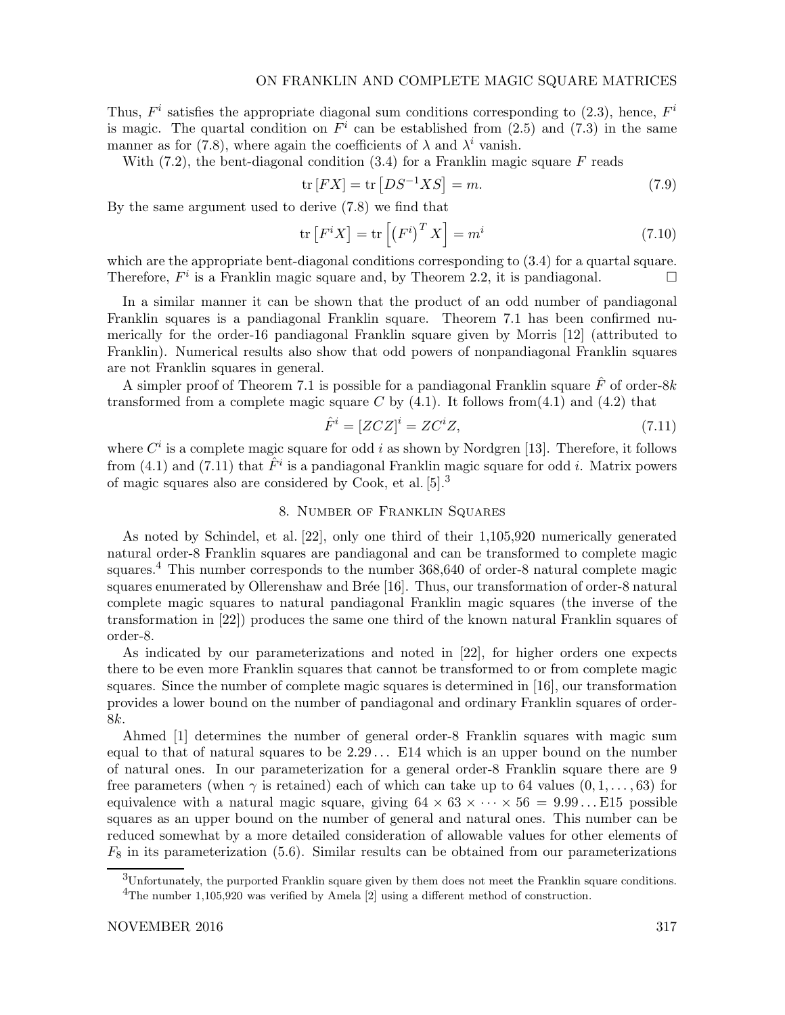Thus,  $F^i$  satisfies the appropriate diagonal sum conditions corresponding to (2.3), hence,  $F^i$ is magic. The quartal condition on  $F<sup>i</sup>$  can be established from (2.5) and (7.3) in the same manner as for (7.8), where again the coefficients of  $\lambda$  and  $\lambda^i$  vanish.

With  $(7.2)$ , the bent-diagonal condition  $(3.4)$  for a Franklin magic square F reads

$$
\text{tr}\left[FX\right] = \text{tr}\left[DS^{-1}XS\right] = m. \tag{7.9}
$$

By the same argument used to derive (7.8) we find that

$$
\operatorname{tr}\left[F^{i}X\right] = \operatorname{tr}\left[\left(F^{i}\right)^{T}X\right] = m^{i} \tag{7.10}
$$

which are the appropriate bent-diagonal conditions corresponding to  $(3.4)$  for a quartal square. Therefore,  $F^i$  is a Franklin magic square and, by Theorem 2.2, it is pandiagonal.

In a similar manner it can be shown that the product of an odd number of pandiagonal Franklin squares is a pandiagonal Franklin square. Theorem 7.1 has been confirmed numerically for the order-16 pandiagonal Franklin square given by Morris [12] (attributed to Franklin). Numerical results also show that odd powers of nonpandiagonal Franklin squares are not Franklin squares in general.

A simpler proof of Theorem 7.1 is possible for a pandiagonal Franklin square  $\hat{F}$  of order-8k transformed from a complete magic square C by  $(4.1)$ . It follows from $(4.1)$  and  $(4.2)$  that

$$
\hat{F}^i = [ZCZ]^i = ZC^iZ,\tag{7.11}
$$

where  $C^i$  is a complete magic square for odd i as shown by Nordgren [13]. Therefore, it follows from (4.1) and (7.11) that  $\hat{F}^i$  is a pandiagonal Franklin magic square for odd *i*. Matrix powers of magic squares also are considered by Cook, et al. [5].<sup>3</sup>

## 8. Number of Franklin Squares

As noted by Schindel, et al. [22], only one third of their 1,105,920 numerically generated natural order-8 Franklin squares are pandiagonal and can be transformed to complete magic squares.<sup>4</sup> This number corresponds to the number 368,640 of order-8 natural complete magic squares enumerated by Ollerenshaw and Brée [16]. Thus, our transformation of order-8 natural complete magic squares to natural pandiagonal Franklin magic squares (the inverse of the transformation in [22]) produces the same one third of the known natural Franklin squares of order-8.

As indicated by our parameterizations and noted in [22], for higher orders one expects there to be even more Franklin squares that cannot be transformed to or from complete magic squares. Since the number of complete magic squares is determined in [16], our transformation provides a lower bound on the number of pandiagonal and ordinary Franklin squares of order-8k.

Ahmed [1] determines the number of general order-8 Franklin squares with magic sum equal to that of natural squares to be  $2.29...$  E14 which is an upper bound on the number of natural ones. In our parameterization for a general order-8 Franklin square there are 9 free parameters (when  $\gamma$  is retained) each of which can take up to 64 values  $(0, 1, \ldots, 63)$  for equivalence with a natural magic square, giving  $64 \times 63 \times \cdots \times 56 = 9.99...$  E15 possible squares as an upper bound on the number of general and natural ones. This number can be reduced somewhat by a more detailed consideration of allowable values for other elements of  $F_8$  in its parameterization (5.6). Similar results can be obtained from our parameterizations

<sup>3</sup>Unfortunately, the purported Franklin square given by them does not meet the Franklin square conditions. <sup>4</sup>The number 1,105,920 was verified by Amela [2] using a different method of construction.